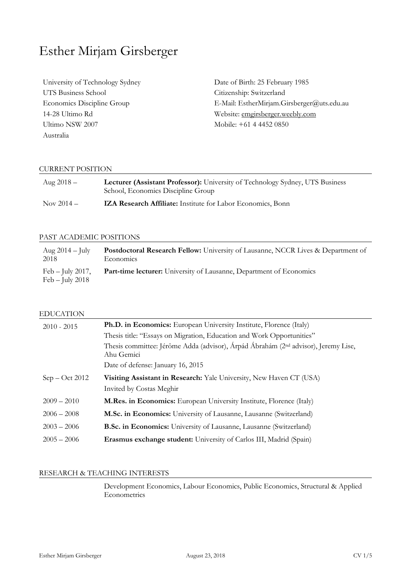# Esther Mirjam Girsberger

University of Technology Sydney UTS Business School Economics Discipline Group 14-28 Ultimo Rd Ultimo NSW 2007 Australia

Date of Birth: 25 February 1985 Citizenship: Switzerland E-Mail: EstherMirjam.Girsberger@uts.edu.au Website: emgirsberger.weebly.com Mobile: +61 4 4452 0850

# CURRENT POSITION

| Aug $2018 -$ | Lecturer (Assistant Professor): University of Technology Sydney, UTS Business<br>School, Economics Discipline Group |
|--------------|---------------------------------------------------------------------------------------------------------------------|
| Nov $2014 -$ | <b>IZA Research Affiliate:</b> Institute for Labor Economics, Bonn                                                  |

#### PAST ACADEMIC POSITIONS

| Aug $2014 - \text{July}$                | <b>Postdoctoral Research Fellow:</b> University of Lausanne, NCCR Lives & Department of |
|-----------------------------------------|-----------------------------------------------------------------------------------------|
| 2018                                    | Economics                                                                               |
| Feb $-$ July 2017,<br>$Feb - July 2018$ | <b>Part-time lecturer:</b> University of Lausanne, Department of Economics              |

#### EDUCATION

| $2010 - 2015$    | <b>Ph.D. in Economics:</b> European University Institute, Florence (Italy)                                   |
|------------------|--------------------------------------------------------------------------------------------------------------|
|                  | Thesis title: "Essays on Migration, Education and Work Opportunities"                                        |
|                  | Thesis committee: Jérôme Adda (advisor), Árpád Ábrahám (2 <sup>nd</sup> advisor), Jeremy Lise,<br>Ahu Gemici |
|                  | Date of defense: January 16, 2015                                                                            |
| $Sep - Oct 2012$ | Visiting Assistant in Research: Yale University, New Haven CT (USA)                                          |
|                  | Invited by Costas Meghir                                                                                     |
| $2009 - 2010$    | M.Res. in Economics: European University Institute, Florence (Italy)                                         |
| $2006 - 2008$    | M.Sc. in Economics: University of Lausanne, Lausanne (Switzerland)                                           |
| $2003 - 2006$    | <b>B.Sc. in Economics:</b> University of Lausanne, Lausanne (Switzerland)                                    |
| $2005 - 2006$    | Erasmus exchange student: University of Carlos III, Madrid (Spain)                                           |
|                  |                                                                                                              |

# RESEARCH & TEACHING INTERESTS

 Development Economics, Labour Economics, Public Economics, Structural & Applied **Econometrics**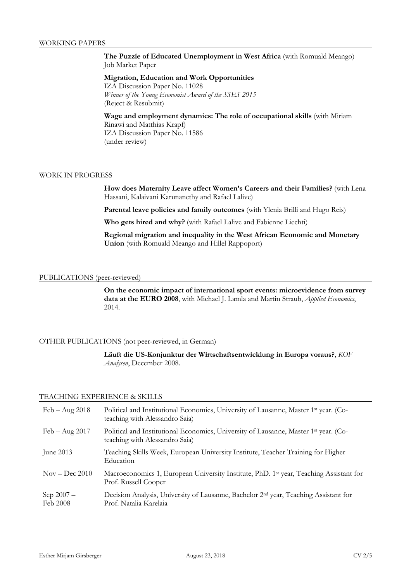# **The Puzzle of Educated Unemployment in West Africa** (with Romuald Meango) Job Market Paper

# **Migration, Education and Work Opportunities**

IZA Discussion Paper No. 11028 *Winner of the Young Economist Award of the SSES 2015*  (Reject & Resubmit)

# **Wage and employment dynamics: The role of occupational skills** (with Miriam Rinawi and Matthias Krapf) IZA Discussion Paper No. 11586

(under review)

# WORK IN PROGRESS

**How does Maternity Leave affect Women's Careers and their Families?** (with Lena Hassani, Kalaivani Karunanethy and Rafael Lalive)

**Parental leave policies and family outcomes** (with Ylenia Brilli and Hugo Reis)

**Who gets hired and why?** (with Rafael Lalive and Fabienne Liechti)

**Regional migration and inequality in the West African Economic and Monetary Union** (with Romuald Meango and Hillel Rappoport)

## PUBLICATIONS (peer-reviewed)

**On the economic impact of international sport events: microevidence from survey data at the EURO 2008**, with Michael J. Lamla and Martin Straub, *Applied Economics*, 2014.

# OTHER PUBLICATIONS (not peer-reviewed, in German)

**Läuft die US-Konjunktur der Wirtschaftsentwicklung in Europa voraus?**, *KOF Analysen*, December 2008.

## TEACHING EXPERIENCE & SKILLS

| $Feb - Aug\ 2018$               | Political and Institutional Economics, University of Lausanne, Master 1st year. (Co-<br>teaching with Alessandro Saia)     |
|---------------------------------|----------------------------------------------------------------------------------------------------------------------------|
| $Feb - Aug 2017$                | Political and Institutional Economics, University of Lausanne, Master 1st year. (Co-<br>teaching with Alessandro Saia)     |
| June $2013$                     | Teaching Skills Week, European University Institute, Teacher Training for Higher<br>Education                              |
| $\text{Nov} - \text{Dec } 2010$ | Macroeconomics 1, European University Institute, PhD. 1 <sup>st</sup> year, Teaching Assistant for<br>Prof. Russell Cooper |
| Sep $2007 -$<br>Feb 2008        | Decision Analysis, University of Lausanne, Bachelor 2 <sup>nd</sup> year, Teaching Assistant for<br>Prof. Natalia Karelaia |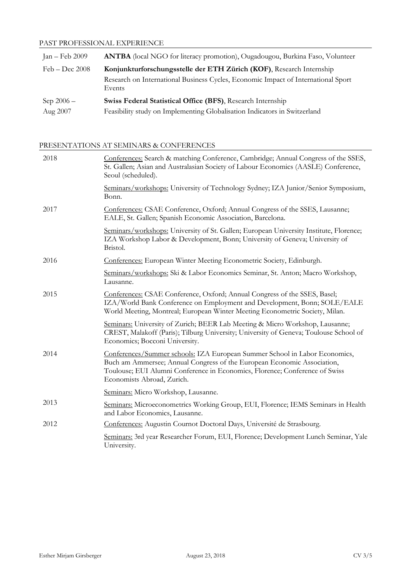# PAST PROFESSIONAL EXPERIENCE

| Jan – Feb $2009$ | <b>ANTBA</b> (local NGO for literacy promotion), Ougadougou, Burkina Faso, Volunteer        |
|------------------|---------------------------------------------------------------------------------------------|
| $Feb - Dec 2008$ | Konjunkturforschungsstelle der ETH Zürich (KOF), Research Internship                        |
|                  | Research on International Business Cycles, Economic Impact of International Sport<br>Events |
| Sep $2006 -$     | Swiss Federal Statistical Office (BFS), Research Internship                                 |
| Aug 2007         | Feasibility study on Implementing Globalisation Indicators in Switzerland                   |

PRESENTATIONS AT SEMINARS & CONFERENCES

| 2018 | Conferences: Search & matching Conference, Cambridge; Annual Congress of the SSES,<br>St. Gallen; Asian and Australasian Society of Labour Economics (AASLE) Conference,<br>Seoul (scheduled).                                                                     |
|------|--------------------------------------------------------------------------------------------------------------------------------------------------------------------------------------------------------------------------------------------------------------------|
|      | Seminars/workshops: University of Technology Sydney; IZA Junior/Senior Symposium,<br>Bonn.                                                                                                                                                                         |
| 2017 | Conferences: CSAE Conference, Oxford; Annual Congress of the SSES, Lausanne;<br>EALE, St. Gallen; Spanish Economic Association, Barcelona.                                                                                                                         |
|      | Seminars/workshops: University of St. Gallen; European University Institute, Florence;<br>IZA Workshop Labor & Development, Bonn; University of Geneva; University of<br>Bristol.                                                                                  |
| 2016 | Conferences: European Winter Meeting Econometric Society, Edinburgh.                                                                                                                                                                                               |
|      | Seminars/workshops: Ski & Labor Economics Seminar, St. Anton; Macro Workshop,<br>Lausanne.                                                                                                                                                                         |
| 2015 | Conferences: CSAE Conference, Oxford; Annual Congress of the SSES, Basel;<br>IZA/World Bank Conference on Employment and Development, Bonn; SOLE/EALE<br>World Meeting, Montreal; European Winter Meeting Econometric Society, Milan.                              |
|      | Seminars: University of Zurich; BEER Lab Meeting & Micro Workshop, Lausanne;<br>CREST, Malakoff (Paris); Tilburg University; University of Geneva; Toulouse School of<br>Economics; Bocconi University.                                                            |
| 2014 | Conferences/Summer schools: IZA European Summer School in Labor Economics,<br>Buch am Ammersee; Annual Congress of the European Economic Association,<br>Toulouse; EUI Alumni Conference in Economics, Florence; Conference of Swiss<br>Economists Abroad, Zurich. |
|      | Seminars: Micro Workshop, Lausanne.                                                                                                                                                                                                                                |
| 2013 | Seminars: Microeconometrics Working Group, EUI, Florence; IEMS Seminars in Health<br>and Labor Economics, Lausanne.                                                                                                                                                |
| 2012 | Conferences: Augustin Cournot Doctoral Days, Université de Strasbourg.                                                                                                                                                                                             |
|      | Seminars: 3rd year Researcher Forum, EUI, Florence; Development Lunch Seminar, Yale<br>University.                                                                                                                                                                 |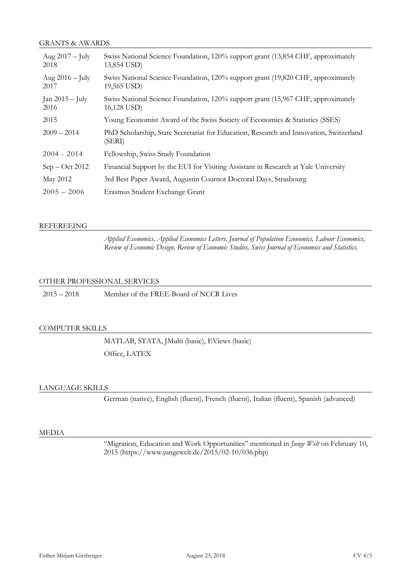# GRANTS & AWARDS

| Aug $2017 - \text{July}$<br>2018 | Swiss National Science Foundation, 120% support grant (13,854 CHF, approximately<br>13,854 USD)  |
|----------------------------------|--------------------------------------------------------------------------------------------------|
| Aug $2016 - \text{July}$<br>2017 | Swiss National Science Foundation, 120% support grant (19,820 CHF, approximately<br>19,565 USD)  |
| Jan $2015 -$ July<br>2016        | Swiss National Science Foundation, 120% support grant (15,967 CHF, approximately<br>16,128 USD)  |
| 2015                             | Young Economist Award of the Swiss Society of Economics & Statistics (SSES)                      |
| $2009 - 2014$                    | PhD Scholarship, State Secretariat for Education, Research and Innovation, Switzerland<br>(SERI) |
| $2004 - 2014$                    | Fellowship, Swiss Study Foundation                                                               |
| $Sep - Oct 2012$                 | Financial Support by the EUI for Visiting Assistant in Research at Yale University               |
| May 2012                         | 3rd Best Paper Award, Augustin Cournot Doctoral Days, Strasbourg                                 |
| $2005 - 2006$                    | Erasmus Student Exchange Grant                                                                   |

## REFEREEING

 *Applied Economics, Applied Economics Letters, Journal of Population Economics, Labour Economics, Review of Economic Design, Review of Economic Studies, Swiss Journal of Economics and Statistics.* 

## OTHER PROFESSIONAL SERVICES

2015 – 2018 Member of the FREE-Board of NCCR Lives

# COMPUTER SKILLS

 MATLAB, STATA, JMulti (basic), EViews (basic) Office, LATEX

# LANGUAGE SKILLS

German (native), English (fluent), French (fluent), Italian (fluent), Spanish (advanced)

#### MEDIA

 "Migration, Education and Work Opportunities" mentioned in *Junge Welt* on February 10, 2015 (https://www.jungewelt.de/2015/02-10/036.php)